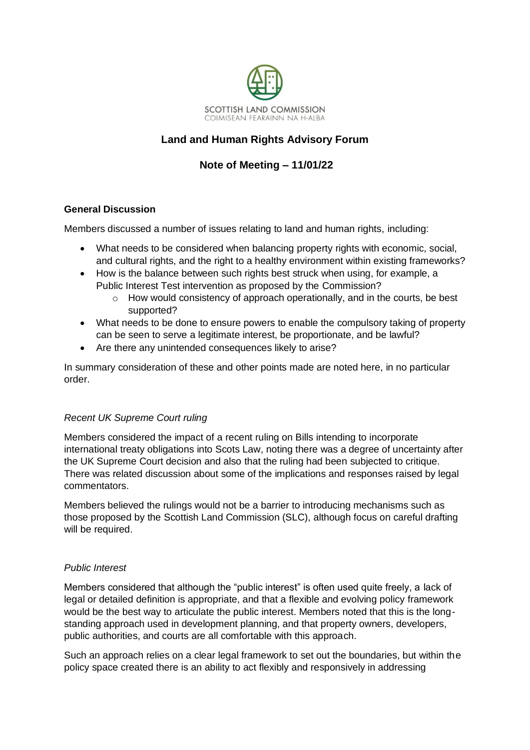

## **Land and Human Rights Advisory Forum**

# **Note of Meeting – 11/01/22**

### **General Discussion**

Members discussed a number of issues relating to land and human rights, including:

- What needs to be considered when balancing property rights with economic, social, and cultural rights, and the right to a healthy environment within existing frameworks?
- How is the balance between such rights best struck when using, for example, a Public Interest Test intervention as proposed by the Commission?
	- $\circ$  How would consistency of approach operationally, and in the courts, be best supported?
- What needs to be done to ensure powers to enable the compulsory taking of property can be seen to serve a legitimate interest, be proportionate, and be lawful?
- Are there any unintended consequences likely to arise?

In summary consideration of these and other points made are noted here, in no particular order.

### *Recent UK Supreme Court ruling*

Members considered the impact of a recent ruling on Bills intending to incorporate international treaty obligations into Scots Law, noting there was a degree of uncertainty after the UK Supreme Court decision and also that the ruling had been subjected to critique. There was related discussion about some of the implications and responses raised by legal commentators.

Members believed the rulings would not be a barrier to introducing mechanisms such as those proposed by the Scottish Land Commission (SLC), although focus on careful drafting will be required.

### *Public Interest*

Members considered that although the "public interest" is often used quite freely, a lack of legal or detailed definition is appropriate, and that a flexible and evolving policy framework would be the best way to articulate the public interest. Members noted that this is the longstanding approach used in development planning, and that property owners, developers, public authorities, and courts are all comfortable with this approach.

Such an approach relies on a clear legal framework to set out the boundaries, but within the policy space created there is an ability to act flexibly and responsively in addressing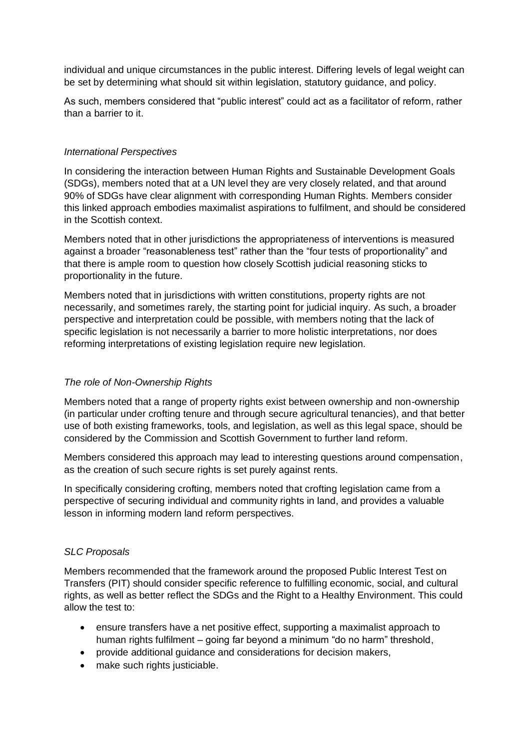individual and unique circumstances in the public interest. Differing levels of legal weight can be set by determining what should sit within legislation, statutory guidance, and policy.

As such, members considered that "public interest" could act as a facilitator of reform, rather than a barrier to it.

#### *International Perspectives*

In considering the interaction between Human Rights and Sustainable Development Goals (SDGs), members noted that at a UN level they are very closely related, and that around 90% of SDGs have clear alignment with corresponding Human Rights. Members consider this linked approach embodies maximalist aspirations to fulfilment, and should be considered in the Scottish context.

Members noted that in other jurisdictions the appropriateness of interventions is measured against a broader "reasonableness test" rather than the "four tests of proportionality" and that there is ample room to question how closely Scottish judicial reasoning sticks to proportionality in the future.

Members noted that in jurisdictions with written constitutions, property rights are not necessarily, and sometimes rarely, the starting point for judicial inquiry. As such, a broader perspective and interpretation could be possible, with members noting that the lack of specific legislation is not necessarily a barrier to more holistic interpretations, nor does reforming interpretations of existing legislation require new legislation.

### *The role of Non-Ownership Rights*

Members noted that a range of property rights exist between ownership and non-ownership (in particular under crofting tenure and through secure agricultural tenancies), and that better use of both existing frameworks, tools, and legislation, as well as this legal space, should be considered by the Commission and Scottish Government to further land reform.

Members considered this approach may lead to interesting questions around compensation, as the creation of such secure rights is set purely against rents.

In specifically considering crofting, members noted that crofting legislation came from a perspective of securing individual and community rights in land, and provides a valuable lesson in informing modern land reform perspectives.

#### *SLC Proposals*

Members recommended that the framework around the proposed Public Interest Test on Transfers (PIT) should consider specific reference to fulfilling economic, social, and cultural rights, as well as better reflect the SDGs and the Right to a Healthy Environment. This could allow the test to:

- ensure transfers have a net positive effect, supporting a maximalist approach to human rights fulfilment – going far beyond a minimum "do no harm" threshold,
- provide additional guidance and considerations for decision makers,
- make such rights justiciable.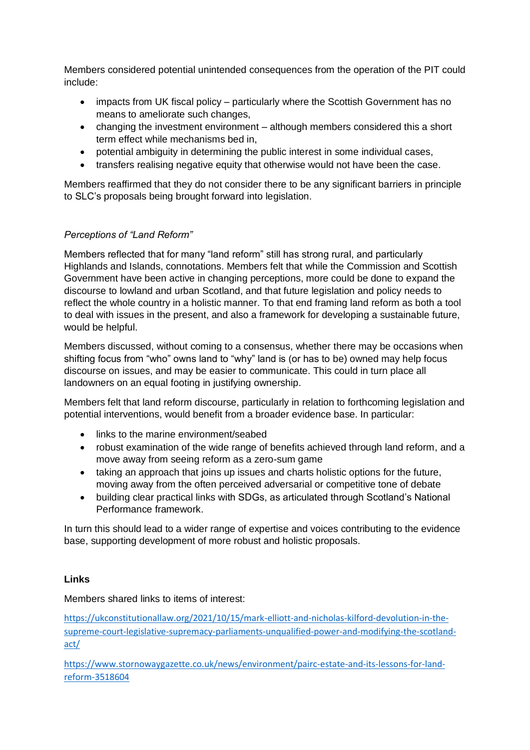Members considered potential unintended consequences from the operation of the PIT could include:

- impacts from UK fiscal policy particularly where the Scottish Government has no means to ameliorate such changes,
- changing the investment environment although members considered this a short term effect while mechanisms bed in,
- potential ambiguity in determining the public interest in some individual cases,
- transfers realising negative equity that otherwise would not have been the case.

Members reaffirmed that they do not consider there to be any significant barriers in principle to SLC's proposals being brought forward into legislation.

## *Perceptions of "Land Reform"*

Members reflected that for many "land reform" still has strong rural, and particularly Highlands and Islands, connotations. Members felt that while the Commission and Scottish Government have been active in changing perceptions, more could be done to expand the discourse to lowland and urban Scotland, and that future legislation and policy needs to reflect the whole country in a holistic manner. To that end framing land reform as both a tool to deal with issues in the present, and also a framework for developing a sustainable future, would be helpful.

Members discussed, without coming to a consensus, whether there may be occasions when shifting focus from "who" owns land to "why" land is (or has to be) owned may help focus discourse on issues, and may be easier to communicate. This could in turn place all landowners on an equal footing in justifying ownership.

Members felt that land reform discourse, particularly in relation to forthcoming legislation and potential interventions, would benefit from a broader evidence base. In particular:

- links to the marine environment/seabed
- robust examination of the wide range of benefits achieved through land reform, and a move away from seeing reform as a zero-sum game
- taking an approach that joins up issues and charts holistic options for the future, moving away from the often perceived adversarial or competitive tone of debate
- building clear practical links with SDGs, as articulated through Scotland's National Performance framework.

In turn this should lead to a wider range of expertise and voices contributing to the evidence base, supporting development of more robust and holistic proposals.

### **Links**

Members shared links to items of interest:

[https://ukconstitutionallaw.org/2021/10/15/mark-elliott-and-nicholas-kilford-devolution-in-the](https://ukconstitutionallaw.org/2021/10/15/mark-elliott-and-nicholas-kilford-devolution-in-the-supreme-court-legislative-supremacy-parliaments-unqualified-power-and-modifying-the-scotland-act/)[supreme-court-legislative-supremacy-parliaments-unqualified-power-and-modifying-the-scotland](https://ukconstitutionallaw.org/2021/10/15/mark-elliott-and-nicholas-kilford-devolution-in-the-supreme-court-legislative-supremacy-parliaments-unqualified-power-and-modifying-the-scotland-act/)[act/](https://ukconstitutionallaw.org/2021/10/15/mark-elliott-and-nicholas-kilford-devolution-in-the-supreme-court-legislative-supremacy-parliaments-unqualified-power-and-modifying-the-scotland-act/)

[https://www.stornowaygazette.co.uk/news/environment/pairc-estate-and-its-lessons-for-land](https://www.stornowaygazette.co.uk/news/environment/pairc-estate-and-its-lessons-for-land-reform-3518604)[reform-3518604](https://www.stornowaygazette.co.uk/news/environment/pairc-estate-and-its-lessons-for-land-reform-3518604)